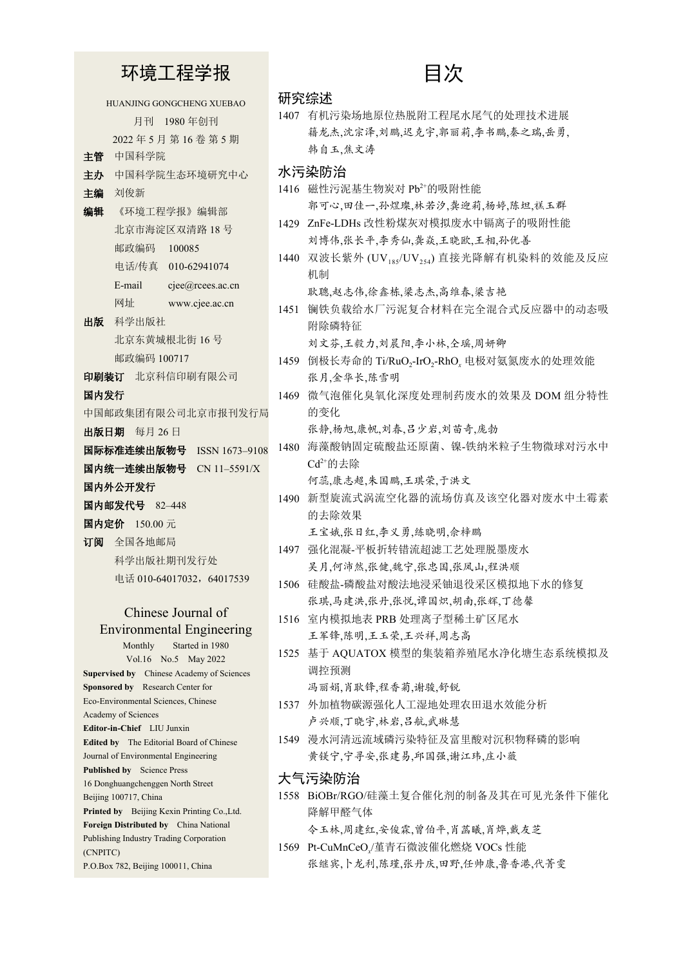环境工程学报

HUANJING GONGCHENG XUEBAO 月刊 1980 年创刊 2022 年 5 月 第 16 卷 第 5 期 主管 中国科学院 主办 中国科学院生态环境研究中心 主编 刘俊新 编辑 《环境工程学报》编辑部 北京市海淀区双清路 18 号 邮政编码 100085 电话/传真 010-62941074 E-mail cjee@rcees.ac.cn 网址 www.cjee.ac.cn 出版 科学出版社 北京东黄城根北街 16 号 邮政编码 100717 印刷装订 北京科信印刷有限公司 国内发行 中国邮政集团有限公司北京市报刊发行局 出版日期 每月 26 日 国际标准连续出版物号 ISSN 1673–9108 国内统一连续出版物号 CN 11–5591/X 国内外公开发行 国内邮发代号 82–448 国内定价 150.00 元 订阅 全国各地邮局 科学出版社期刊发行处 电话 010-64017032, 64017539 Chinese Journal of Environmental Engineering Monthly Started in 1980

Vol.16 No.5 May 2022 **Supervised by** Chinese Academy of Sciences **Sponsored by** Research Center for Eco-Environmental Sciences, Chinese Academy of Sciences **Editor-in-Chief** LIU Junxin **Edited by** The Editorial Board of Chinese Journal of Environmental Engineering **Published by** Science Press 16 Donghuangchenggen North Street Beijing 100717, China **Printed by** Beijing Kexin Printing Co.,Ltd. **Foreign Distributed by** China National Publishing Industry Trading Corporation (CNPITC) P.O.Box 782, Beijing 100011, China

## 目次

| 研究综述 |  |
|------|--|
|      |  |

1407 有机污染场地原位热脱附工程尾水尾气的处理技术进展 籍龙杰,沈宗泽,刘鹏,迟克宇,郭丽莉,李书鹏,秦之瑞,岳勇, 韩自玉,焦文涛

水污染防治

- 1416 磁性污泥基生物炭对 Pb2+的吸附性能 郭可心,田佳一,孙煜璨,林若汐,龚迎莉,杨婷,陈坦,禚玉群
- 1429 ZnFe-LDHs 改性粉煤灰对模拟废水中镉离子的吸附性能 刘博伟,张长平,李秀仙,龚焱,王晓欧,王相,孙优善
- 1440 双波长紫外 (UV<sub>185</sub>/UV<sub>254</sub>) 直接光降解有机染料的效能及反应 机制

耿聰,赵志伟,徐鑫栋,梁志杰,高维春,梁吉艳

1451 镧铁负载给水厂污泥复合材料在完全混合式反应器中的动态吸 附除磷特征

刘文芬,王毅力,刘晨阳,李小林,仝瑶,周妍卿

- 1459 倒极长寿命的 Ti/RuO<sub>2</sub>-IrO<sub>2</sub>-RhO<sub>x</sub> 电极对氨氮废水的处理效能 张月,金华长,陈雪明
- 1469 微气泡催化臭氧化深度处理制药废水的效果及 DOM 组分特性 的变化

张静,杨旭,康帆,刘春,吕少岩,刘苗奇,庞勃

1480 海藻酸钠固定硫酸盐还原菌、镍-铁纳米粒子生物微球对污水中  $Cd^{2+}$ 的夫除

何蕊,康志超,朱国鹏,王琪荣,于洪文

- 1490 新型旋流式涡流空化器的流场仿真及该空化器对废水中土霉素 的去除效果
- 王宝娥,张日红,李义勇,练晓明,佘梓鹏 1497 强化混凝-平板折转错流超滤工艺处理脱墨废水 吴月,何沛然,张健,魏宁,张忠国,张凤山,程洪顺
- 1506 硅酸盐-磷酸盐对酸法地浸采铀退役采区模拟地下水的修复 张琪,马建洪,张丹,张悦,谭国炽,胡南,张辉,丁德馨
- 1516 室内模拟地表 PRB 处理离子型稀土矿区尾水 王军锋,陈明,王玉荣,王兴祥,周志高
- 1525 基于 AQUATOX 模型的集装箱养殖尾水净化塘生态系统模拟及 调控预测

冯丽娟,肖耿锋,程香菊,谢骏,舒锐

- 1537 外加植物碳源强化人工湿地处理农田退水效能分析 卢兴顺,丁晓宇,林岩,吕航,武琳慧
- 1549 漫水河清远流域磷污染特征及富里酸对沉积物释磷的影响 黄镁宁,宁寻安,张建易,邱国强,谢江玮,庄小薇
- 大气污染防治
- 1558 BiOBr/RGO/硅藻土复合催化剂的制备及其在可见光条件下催化 降解甲醛气体

令玉林,周建红,安俊霖,曾伯平,肖菡曦,肖烨,戴友芝

1569 Pt-CuMnCeO*<sup>x</sup>* /堇青石微波催化燃烧 VOCs 性能 张继宾,卜龙利,陈瑾,张丹庆,田野,任帅康,鲁香港,代菁雯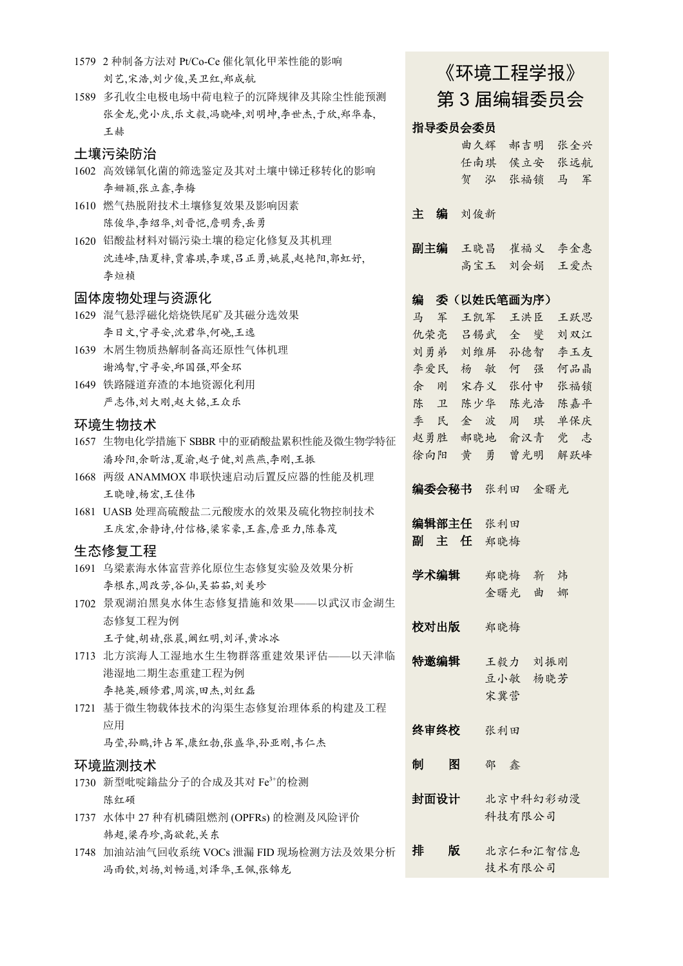|      | 1579 2 种制备方法对 Pt/Co-Ce 催化氧化甲苯性能的影响                            |      |   |         |     |             |     |          |  |
|------|---------------------------------------------------------------|------|---|---------|-----|-------------|-----|----------|--|
|      | 刘艺,宋浩,刘少俊,吴卫红,郑成航                                             |      |   |         |     | 《环境工程学报》    |     |          |  |
| 1589 | 多孔收尘电极电场中荷电粒子的沉降规律及其除尘性能预测                                    |      |   |         |     |             |     | 第3届编辑委员会 |  |
|      | 张金龙,党小庆,乐文毅,冯晓峰,刘明坤,李世杰,于欣,郑华春,                               |      |   |         |     |             |     |          |  |
|      | 王赫                                                            |      |   | 指导委员会委员 |     |             |     |          |  |
|      | 土壤污染防治                                                        |      |   |         | 曲久辉 | 郝吉明         |     | 张全兴      |  |
|      | 1602 高效锑氧化菌的筛选鉴定及其对土壤中锑迁移转化的影响                                |      |   |         |     | 任南琪 侯立安     |     | 张远航      |  |
|      | 李姗颖,张立鑫,李梅                                                    |      |   | 贺       | 泓   | 张福锁         |     | 马 军      |  |
|      | 1610 燃气热脱附技术土壤修复效果及影响因素                                       |      |   |         |     |             |     |          |  |
|      | 陈俊华,李绍华,刘晋恺,詹明秀,岳勇                                            | 主    | 编 | 刘俊新     |     |             |     |          |  |
| 1620 | 铝酸盐材料对镉污染土壤的稳定化修复及其机理                                         |      |   |         |     |             |     |          |  |
|      | 沈连峰,陆夏梓,贾睿琪,李璞,吕正勇,姚晨,赵艳阳,郭虹妤,                                | 副主编  |   |         |     | 王晓昌 崔福义     |     | 李金惠      |  |
|      | 李烜桢                                                           |      |   |         |     | 高宝玉 刘会娟     |     | 王爱杰      |  |
|      | 固体废物处理与资源化                                                    | 编    |   |         |     | 委 (以姓氏笔画为序) |     |          |  |
|      | 1629 混气悬浮磁化焙烧铁尾矿及其磁分选效果                                       | 马    | 军 |         |     | 王凯军 王洪臣     |     | 王跃思      |  |
|      | 李日文,宁寻安,沈君华,何峣,王逸                                             |      |   |         |     | 仇荣亮 吕锡武 全 燮 |     | 刘双江      |  |
|      | 1639 木屑生物质热解制备高还原性气体机理                                        | 刘勇弟  |   |         |     | 刘维屏 孙德智     |     | 李玉友      |  |
|      | 谢鸿智,宁寻安,邱国强,邓金环                                               | 李爱民  |   |         |     | 杨敏何         | 强   | 何品晶      |  |
|      | 1649 铁路隧道弃渣的本地资源化利用                                           | 余 刚  |   |         | 宋存义 | 张付申         |     | 张福锁      |  |
|      | 严志伟,刘大刚,赵大铭,王众乐                                               | 陈    | 卫 |         |     | 陈少华 陈光浩     |     | 陈嘉平      |  |
|      |                                                               | 季    | 民 |         |     | 金波周         | 琪   | 单保庆      |  |
|      | 环境生物技术<br>1657 生物电化学措施下 SBBR 中的亚硝酸盐累积性能及微生物学特征                | 赵勇胜  |   |         |     | 郝晓地 俞汉青     |     | 党 志      |  |
|      |                                                               | 徐向阳  |   | 黄 勇     |     | 曾光明         |     | 解跃峰      |  |
|      | 潘玲阳,余昕洁,夏渝,赵子健,刘燕燕,李刚,王振<br>1668 两级 ANAMMOX 串联快速启动后置反应器的性能及机理 |      |   |         |     |             |     |          |  |
|      |                                                               |      |   | 编委会秘书   | 张利田 |             | 金曙光 |          |  |
|      | 王晓曈,杨宏,王佳伟                                                    |      |   |         |     |             |     |          |  |
|      | 1681 UASB 处理高硫酸盐二元酸废水的效果及硫化物控制技术                              |      |   | 编辑部主任   | 张利田 |             |     |          |  |
|      | 王庆宏,余静诗,付信格,梁家豪,王鑫,詹亚力,陈春茂                                    | 副    |   | 主任      | 郑晓梅 |             |     |          |  |
|      | 生态修复工程                                                        |      |   |         |     |             |     |          |  |
|      | 1691 乌梁素海水体富营养化原位生态修复实验及效果分析                                  | 学术编辑 |   |         |     | 郑晓梅         | 靳   | 炜        |  |
|      | 李根东,周改芳,谷仙,吴茹茹,刘美珍                                            |      |   |         | 金曙光 |             | 曲   | 娜        |  |
| 1702 | 景观湖泊黑臭水体生态修复措施和效果——以武汉市金湖生                                    |      |   |         |     |             |     |          |  |
|      | 态修复工程为例                                                       | 校对出版 |   |         | 郑晓梅 |             |     |          |  |
|      | 王子健,胡婧,张晨,阚红明,刘洋,黄冰冰                                          |      |   |         |     |             |     |          |  |
|      | 1713 北方滨海人工湿地水生生物群落重建效果评估——以天津临                               | 特邀编辑 |   |         | 王毅力 |             | 刘振刚 |          |  |
|      | 港湿地二期生态重建工程为例                                                 |      |   |         | 豆小敏 |             | 杨晓芳 |          |  |
|      | 李艳英,顾修君,周滨,田杰,刘红磊                                             |      |   |         | 宋冀营 |             |     |          |  |
| 1721 | 基于微生物载体技术的沟渠生态修复治理体系的构建及工程                                    |      |   |         |     |             |     |          |  |
|      | 应用                                                            | 终审终校 |   |         | 张利田 |             |     |          |  |
|      | 马莹,孙鹏,许占军,康红勃,张盛华,孙亚刚,韦仁杰                                     |      |   |         |     |             |     |          |  |
|      | 环境监测技术                                                        | 制    |   | 图       | 邵   | 鑫           |     |          |  |
| 1730 | 新型吡啶鎓盐分子的合成及其对 Fe3+的检测                                        |      |   |         |     |             |     |          |  |
|      | 陈红硕                                                           | 封面设计 |   |         |     |             |     | 北京中科幻彩动漫 |  |
|      | 1737 水体中 27 种有机磷阻燃剂 (OPFRs) 的检测及风险评价                          |      |   |         |     | 科技有限公司      |     |          |  |
|      | 韩超,梁存珍,高欲乾,关东                                                 |      |   |         |     |             |     |          |  |
| 1748 | 加油站油气回收系统 VOCs 泄漏 FID 现场检测方法及效果分析                             | 排    |   | 版       |     |             |     | 北京仁和汇智信息 |  |
|      | 冯雨钦,刘扬,刘畅通,刘泽华,王佩,张锦龙                                         |      |   |         |     | 技术有限公司      |     |          |  |